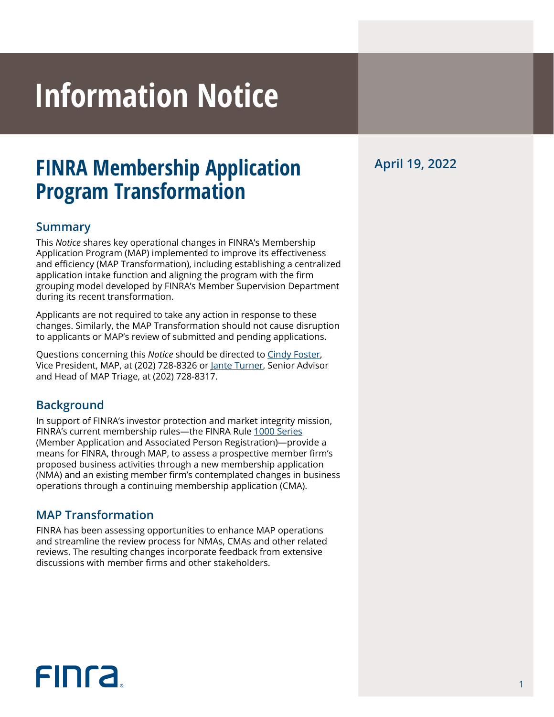# **Information Notice**

### **FINRA Membership Application Program Transformation**

#### **Summary**

This *Notice* shares key operational changes in FINRA's Membership Application Program (MAP) implemented to improve its effectiveness and efficiency (MAP Transformation), including establishing a centralized application intake function and aligning the program with the firm grouping model developed by FINRA's Member Supervision Department during its recent transformation.

Applicants are not required to take any action in response to these changes. Similarly, the MAP Transformation should not cause disruption to applicants or MAP's review of submitted and pending applications.

Questions concerning this *Notice* should be directed to [Cindy Foster,](mailto:cindy.foster%40finra.org?subject=) Vice President, MAP, at (202) 728-8326 or [Jante Turner,](mailto:jante.turner%40finra.org?subject=) Senior Advisor and Head of MAP Triage, at (202) 728-8317.

#### **Background**

In support of FINRA's investor protection and market integrity mission, FINRA's current membership rules—the FINRA Rule [1000 Series](https://www.finra.org/rules-guidance/rulebooks/finra-rules/1000) (Member Application and Associated Person Registration)—provide a means for FINRA, through MAP, to assess a prospective member firm's proposed business activities through a new membership application (NMA) and an existing member firm's contemplated changes in business operations through a continuing membership application (CMA).

#### **MAP Transformation**

FINRA has been assessing opportunities to enhance MAP operations and streamline the review process for NMAs, CMAs and other related reviews. The resulting changes incorporate feedback from extensive discussions with member firms and other stakeholders.

## **FINCA**

**April 19, 2022**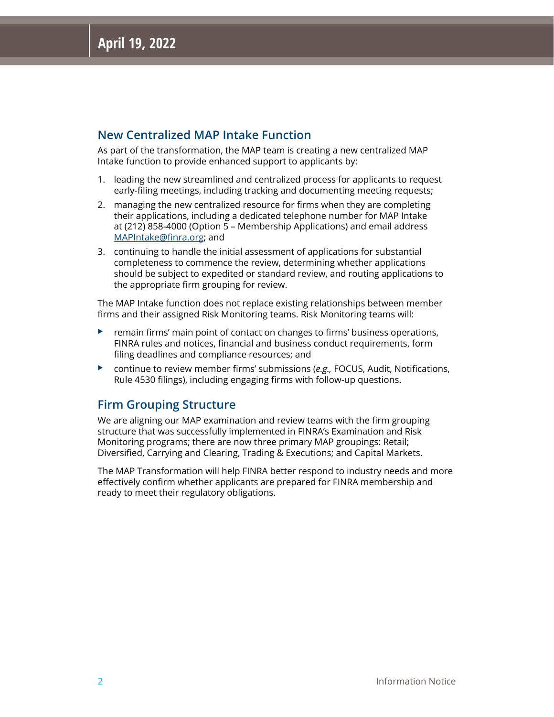#### **New Centralized MAP Intake Function**

As part of the transformation, the MAP team is creating a new centralized MAP Intake function to provide enhanced support to applicants by:

- 1. leading the new streamlined and centralized process for applicants to request early-filing meetings, including tracking and documenting meeting requests;
- 2. managing the new centralized resource for firms when they are completing their applications, including a dedicated telephone number for MAP Intake at (212) 858-4000 (Option 5 – Membership Applications) and email address [MAPIntake@finra.org](mailto:MAPIntake@finra.org); and
- 3. continuing to handle the initial assessment of applications for substantial completeness to commence the review, determining whether applications should be subject to expedited or standard review, and routing applications to the appropriate firm grouping for review.

The MAP Intake function does not replace existing relationships between member firms and their assigned Risk Monitoring teams. Risk Monitoring teams will:

- $\blacktriangleright$  remain firms' main point of contact on changes to firms' business operations, FINRA rules and notices, financial and business conduct requirements, form filing deadlines and compliance resources; and
- ▶ continue to review member firms' submissions (e.g., FOCUS, Audit, Notifications, Rule 4530 filings), including engaging firms with follow-up questions.

#### **Firm Grouping Structure**

We are aligning our MAP examination and review teams with the firm grouping structure that was successfully implemented in FINRA's Examination and Risk Monitoring programs; there are now three primary MAP groupings: Retail; Diversified, Carrying and Clearing, Trading & Executions; and Capital Markets.

The MAP Transformation will help FINRA better respond to industry needs and more effectively confirm whether applicants are prepared for FINRA membership and ready to meet their regulatory obligations.